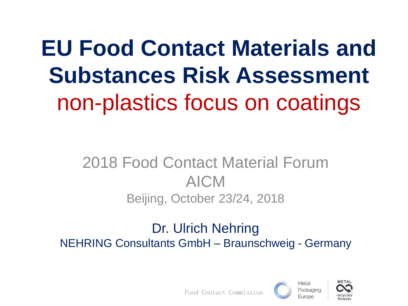# **EU Food Contact Materials and Substances Risk Assessment** non-plastics focus on coatings

#### 2018 Food Contact Material Forum AICM Beijing, October 23/24, 2018

#### Dr. Ulrich Nehring NEHRING Consultants GmbH – Braunschweig - Germany





Food Contact Commission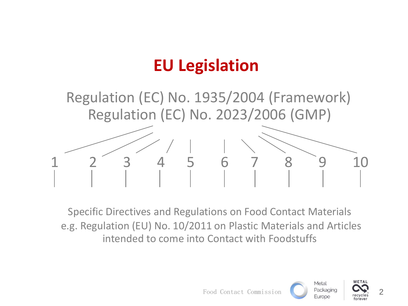## **EU Legislation**

 Regulation (EC) No. 1935/2004 (Framework) Regulation (EC) No. 2023/2006 (GMP)



Specific Directives and Regulations on Food Contact Materials e.g. Regulation (EU) No. 10/2011 on Plastic Materials and Articles intended to come into Contact with Foodstuffs

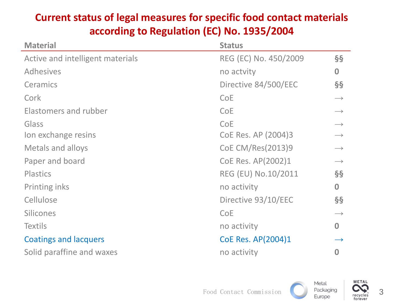#### **Current status of legal measures for specific food contact materials according to Regulation (EC) No. 1935/2004**

| <b>Material</b>                  | <b>Status</b>         |                   |
|----------------------------------|-----------------------|-------------------|
| Active and intelligent materials | REG (EC) No. 450/2009 | $\S$              |
| <b>Adhesives</b>                 | no actvity            | $\bf{0}$          |
| Ceramics                         | Directive 84/500/EEC  | $\S$              |
| Cork                             | <b>CoE</b>            | $\longrightarrow$ |
| Elastomers and rubber            | <b>CoE</b>            | $\longrightarrow$ |
| Glass                            | CoE                   | $\longrightarrow$ |
| Ion exchange resins              | CoE Res. AP (2004)3   | $\longrightarrow$ |
| <b>Metals and alloys</b>         | CoE CM/Res(2013)9     | $\longrightarrow$ |
| Paper and board                  | CoE Res. AP(2002)1    | $\longrightarrow$ |
| <b>Plastics</b>                  | REG (EU) No.10/2011   | $\S$              |
| Printing inks                    | no activity           | $\bf{0}$          |
| Cellulose                        | Directive 93/10/EEC   | $\S$              |
| <b>Silicones</b>                 | <b>CoE</b>            | $\longrightarrow$ |
| <b>Textils</b>                   | no activity           | $\bf{0}$          |
| <b>Coatings and lacquers</b>     | CoE Res. AP(2004)1    |                   |
| Solid paraffine and waxes        | no activity           | 0                 |

Metal

**METAL**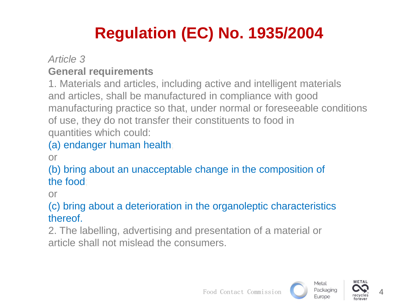## **Regulation (EC) No. 1935/2004**

#### *Article 3* **General requirements**

1. Materials and articles, including active and intelligent materials and articles, shall be manufactured in compliance with good manufacturing practice so that, under normal or foreseeable conditions of use, they do not transfer their constituents to food in quantities which could:

#### (a) endanger human health;

or

(b) bring about an unacceptable change in the composition of the food;

or

#### (c) bring about a deterioration in the organoleptic characteristics thereof.

2. The labelling, advertising and presentation of a material or article shall not mislead the consumers.



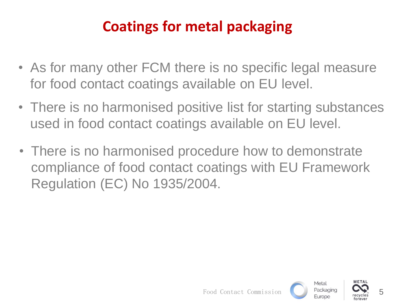#### **Coatings for metal packaging**

- As for many other FCM there is no specific legal measure for food contact coatings available on EU level.
- There is no harmonised positive list for starting substances used in food contact coatings available on EU level.
- There is no harmonised procedure how to demonstrate compliance of food contact coatings with EU Framework Regulation (EC) No 1935/2004.

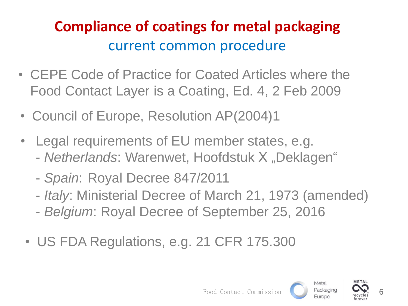- CEPE Code of Practice for Coated Articles where the Food Contact Layer is a Coating, Ed. 4, 2 Feb 2009
- Council of Europe, Resolution AP(2004)1
- Legal requirements of EU member states, e.g. - *Netherlands*: Warenwet, Hoofdstuk X "Deklagen"
	- *Spain*: Royal Decree 847/2011
	- *Italy*: Ministerial Decree of March 21, 1973 (amended)
	- *Belgium*: Royal Decree of September 25, 2016
	- US FDA Regulations, e.g. 21 CFR 175.300

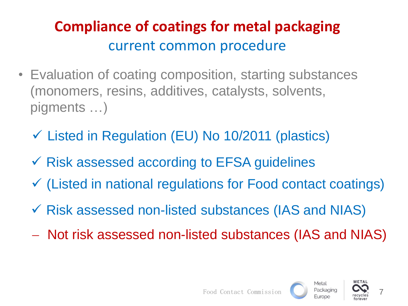- Evaluation of coating composition, starting substances (monomers, resins, additives, catalysts, solvents, pigments …)
	- Listed in Regulation (EU) No 10/2011 (plastics)
	- $\checkmark$  Risk assessed according to EFSA guidelines
	- (Listed in national regulations for Food contact coatings)
	- $\checkmark$  Risk assessed non-listed substances (IAS and NIAS)
	- Not risk assessed non-listed substances (IAS and NIAS)

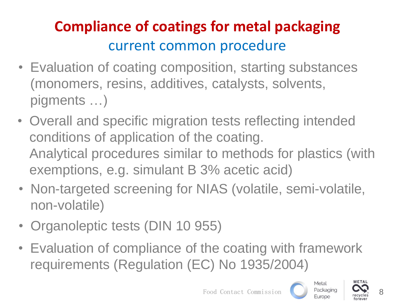- Evaluation of coating composition, starting substances (monomers, resins, additives, catalysts, solvents, pigments …)
- Overall and specific migration tests reflecting intended conditions of application of the coating. Analytical procedures similar to methods for plastics (with exemptions, e.g. simulant B 3% acetic acid)
- Non-targeted screening for NIAS (volatile, semi-volatile, non-volatile)
- Organoleptic tests (DIN 10 955)
- Evaluation of compliance of the coating with framework requirements (Regulation (EC) No 1935/2004)

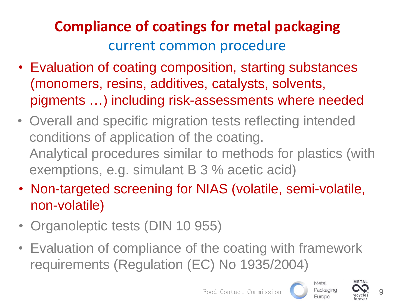- Evaluation of coating composition, starting substances (monomers, resins, additives, catalysts, solvents, pigments …) including risk-assessments where needed
- Overall and specific migration tests reflecting intended conditions of application of the coating. Analytical procedures similar to methods for plastics (with exemptions, e.g. simulant B 3 % acetic acid)
- Non-targeted screening for NIAS (volatile, semi-volatile, non-volatile)
- Organoleptic tests (DIN 10 955)
- Evaluation of compliance of the coating with framework requirements (Regulation (EC) No 1935/2004)



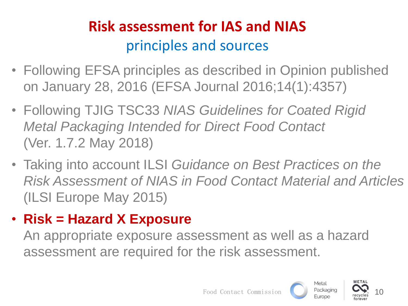## **Risk assessment for IAS and NIAS** principles and sources

- Following EFSA principles as described in Opinion published on January 28, 2016 (EFSA Journal 2016;14(1):4357)
- Following TJIG TSC33 *NIAS Guidelines for Coated Rigid Metal Packaging Intended for Direct Food Contact* (Ver. 1.7.2 May 2018)
- Taking into account ILSI *Guidance on Best Practices on the Risk Assessment of NIAS in Food Contact Material and Articles* (ILSI Europe May 2015)
- **Risk = Hazard X Exposure**

An appropriate exposure assessment as well as a hazard assessment are required for the risk assessment.





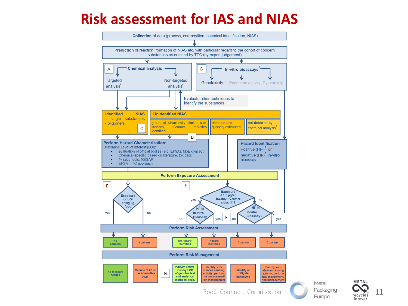#### **Risk assessment for IAS and NIAS**



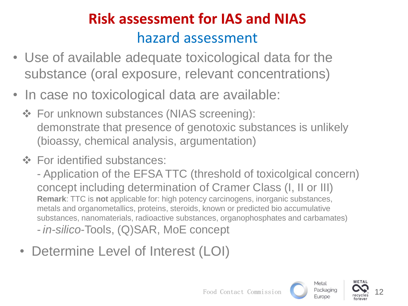## **Risk assessment for IAS and NIAS** hazard assessment

- Use of available adequate toxicological data for the substance (oral exposure, relevant concentrations)
- In case no toxicological data are available:
	- $\div$  For unknown substances (NIAS screening): demonstrate that presence of genotoxic substances is unlikely (bioassy, chemical analysis, argumentation)
	- **❖** For identified substances:

- Application of the EFSA TTC (threshold of toxicolgical concern) concept including determination of Cramer Class (I, II or III) **Remark**: TTC is **not** applicable for: high potency carcinogens, inorganic substances, metals and organometallics, proteins, steroids, known or predicted bio accumulative substances, nanomaterials, radioactive substances, organophosphates and carbamates)

- *in-silico*-Tools, (Q)SAR, MoE concept

• Determine Level of Interest (LOI)



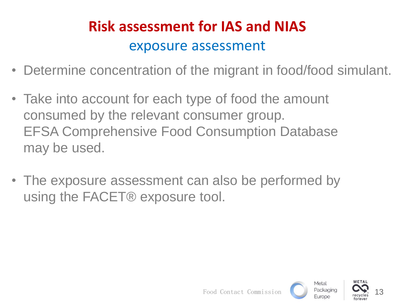#### **Risk assessment for IAS and NIAS** exposure assessment

- Determine concentration of the migrant in food/food simulant.
- Take into account for each type of food the amount consumed by the relevant consumer group. EFSA Comprehensive Food Consumption Database may be used.
- The exposure assessment can also be performed by using the FACET® exposure tool.

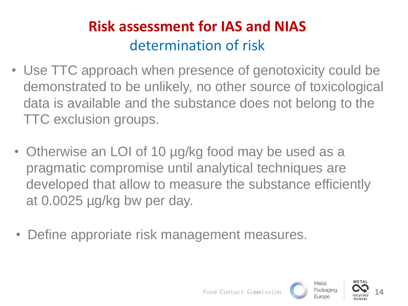#### **Risk assessment for IAS and NIAS** determination of risk

- Use TTC approach when presence of genotoxicity could be demonstrated to be unlikely, no other source of toxicological data is available and the substance does not belong to the TTC exclusion groups.
- Otherwise an LOI of 10 µg/kg food may be used as a pragmatic compromise until analytical techniques are developed that allow to measure the substance efficiently at 0.0025 µg/kg bw per day.
- Define approriate risk management measures.

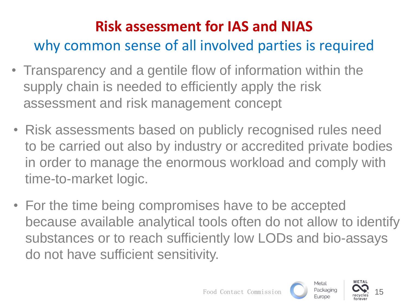## **Risk assessment for IAS and NIAS** why common sense of all involved parties is required

- Transparency and a gentile flow of information within the supply chain is needed to efficiently apply the risk assessment and risk management concept
- Risk assessments based on publicly recognised rules need to be carried out also by industry or accredited private bodies in order to manage the enormous workload and comply with time-to-market logic.
- For the time being compromises have to be accepted because available analytical tools often do not allow to identify substances or to reach sufficiently low LODs and bio-assays do not have sufficient sensitivity.

15

Metal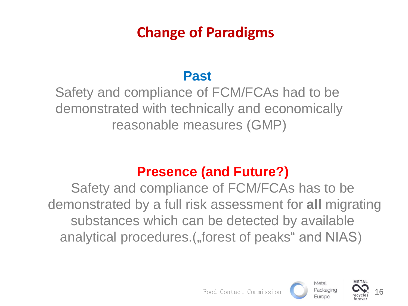#### **Change of Paradigms**

#### **Past**

Safety and compliance of FCM/FCAs had to be demonstrated with technically and economically reasonable measures (GMP)

#### **Presence (and Future?)**

Safety and compliance of FCM/FCAs has to be demonstrated by a full risk assessment for **all** migrating substances which can be detected by available analytical procedures.(, forest of peaks" and NIAS)

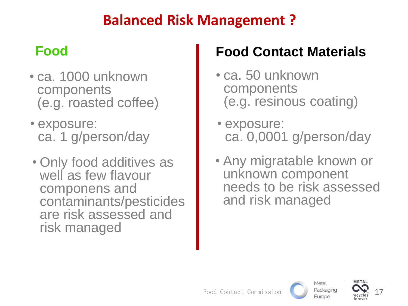#### **Balanced Risk Management ?**

- ca. 1000 unknown components (e.g. roasted coffee)
- exposure: ca. 1 g/person/day
- Only food additives as well as few flavour componens and contaminants/pesticides are risk assessed and risk managed

#### **Food Food Contact Materials**

- ca. 50 unknown components (e.g. resinous coating)
- exposure: ca. 0,0001 g/person/day
- Any migratable known or unknown component needs to be risk assessed and risk managed